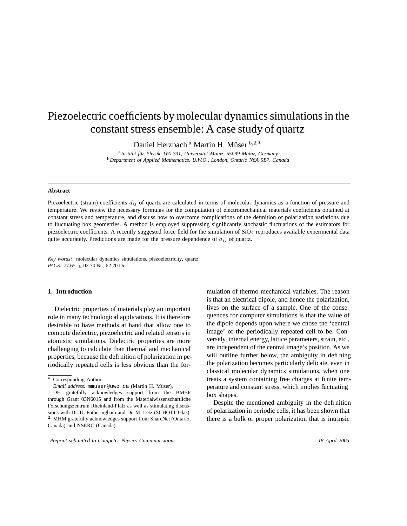# Piezoelectric coefficients by molecular dynamics simulations in the constant stress ensemble: A case study of quartz

Daniel Herzbach <sup>a</sup> Martin H. Müser <sup>b,2,\*</sup>

a *Institut fur¨ Physik, WA 331, Universitat¨ Mainz, 55099 Mainz, Germany* <sup>b</sup>*Department of Applied Mathematics, U.W.O., London, Ontario N6A 5B7, Canada*

#### **Abstract**

Piezoelectric (strain) coefficients  $d_{ij}$  of quartz are calculated in terms of molecular dynamics as a function of pressure and temperature. We review the necessary formulas for the computation of electromechanical materials coefficients obtained at constant stress and temperature, and discuss how to overcome complications of the definition of polarization variations due to fluctuating box geometries. A method is employed suppressing significantly stochastic fluctuations of the estimators for piezoelectric coefficients. A recently suggested force field for the simulation of SiO<sub>2</sub> reproduces available experimental data quite accurately. Predictions are made for the pressure dependence of  $d_{ij}$  of quartz.

*Key words:* molecular dynamics simulations, piezoelectricity, quartz *PACS:* 77.65.-j, 02.70.Ns, 62.20.Dc

## **1. Introduction**

Dielectric properties of materials play an important role in many technological applications. It is therefore desirable to have methods at hand that allow one to compute dielectric, piezoelectric and related tensors in atomistic simulations. Dielectric properties are more challenging to calculate than thermal and mechanical properties, because the definition of polarization in periodically repeated cells is less obvious than the formulation of thermo-mechanical variables. The reason is that an electrical dipole, and hence the polarization, lives on the surface of a sample. One of the consequences for computer simulations is that the value of the dipole depends upon where we chose the 'central image' of the periodically repeated cell to be. Conversely, internal energy, lattice parameters, strain, etc., are independent of the central image's position. As we will outline further below, the ambiguity in defining the polarization becomes particularly delicate, even in classical molecular dynamics simulations, when one treats a system containing free charges at finite temperature and constant stress, which implies fluctuating box shapes.

Despite the mentioned ambiguity in the definition of polarization in periodic cells, it has been shown that there is a bulk or proper polarization that is intrinsic

<sup>∗</sup> Corresponding Author:

*Email address:* mmuser@uwo.ca (Martin H. Müser).

<sup>1</sup> DH gratefully acknowledges support from the BMBF through Grant 03N6015 and from the Materialwissenschaftliche Forschungszentrum Rheinland-Pfalz as well as stimulating discussions with Dr. U. Fotheringham and Dr. M. Letz (SCHOTT Glas). <sup>2</sup> MHM gratefully acknowledges support from SharcNet (Ontario, Canada) and NSERC (Canada).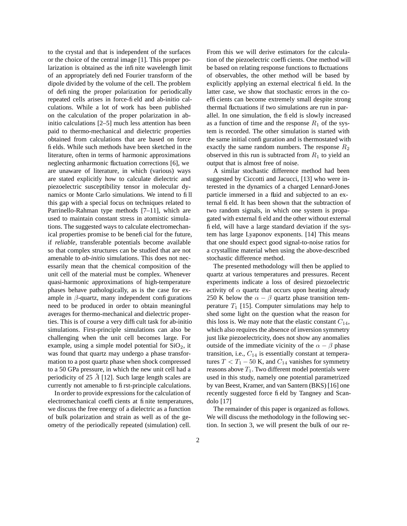to the crystal and that is independent of the surfaces or the choice of the central image [1]. This proper polarization is obtained as the infinite wavelength limit of an appropriately defined Fourier transform of the dipole divided by the volume of the cell. The problem of defining the proper polarization for periodically repeated cells arises in force-field and ab-initio calculations. While a lot of work has been published on the calculation of the proper polarization in abinitio calculations [2–5] much less attention has been paid to thermo-mechanical and dielectric properties obtained from calculations that are based on force fields. While such methods have been sketched in the literature, often in terms of harmonic approximations neglecting anharmonic fluctuation corrections [6], we are unaware of literature, in which (various) ways are stated explicitly how to calculate dielectric and piezoelectric susceptibility tensor in molecular dynamics or Monte Carlo simulations. We intend to fill this gap with a special focus on techniques related to Parrinello-Rahman type methods [7–11], which are used to maintain constant stress in atomistic simulations. The suggested ways to calculate electromechanical properties promise to be beneficial for the future, if *reliable*, transferable potentials become available so that complex structures can be studied that are not amenable to *ab-initio* simulations. This does not necessarily mean that the chemical composition of the unit cell of the material must be complex. Whenever quasi-harmonic approximations of high-temperature phases behave pathologically, as is the case for example in  $\beta$ -quartz, many independent configurations need to be produced in order to obtain meaningful averages for thermo-mechanical and dielectric properties. This is of course a very difficult task for ab-initio simulations. First-principle simulations can also be challenging when the unit cell becomes large. For example, using a simple model potential for  $SiO<sub>2</sub>$ , it was found that quartz may undergo a phase transformation to a post quartz phase when shock compressed to a 50 GPa pressure, in which the new unit cell had a periodicity of 25  $\AA$  [12]. Such large length scales are currently not amenable to first-principle calculations.

In order to provide expressions for the calculation of electromechanical coefficients at finite temperatures, we discuss the free energy of a dielectric as a function of bulk polarization and strain as well as of the geometry of the periodically repeated (simulation) cell.

From this we will derive estimators for the calculation of the piezoelectric coefficients. One method will be based on relating response functions to fluctuations of observables, the other method will be based by explicitly applying an external electrical field. In the latter case, we show that stochastic errors in the coefficients can become extremely small despite strong thermal fluctuations if two simulations are run in parallel. In one simulation, the field is slowly increased as a function of time and the response  $R_1$  of the system is recorded. The other simulation is started with the same initial configuration and is thermostated with exactly the same random numbers. The response  $R_2$ observed in this run is subtracted from  $R_1$  to yield an output that is almost free of noise.

A similar stochastic difference method had been suggested by Ciccotti and Jacucci, [13] who were interested in the dynamics of a charged Lennard-Jones particle immersed in a fluid and subjected to an external field. It has been shown that the subtraction of two random signals, in which one system is propagated with external field and the other without external field, will have a large standard deviation if the system has large Lyaponov exponents. [14] This means that one should expect good signal-to-noise ratios for a crystalline material when using the above-described stochastic difference method.

The presented methodology will then be applied to quartz at various temperatures and pressures. Recent experiments indicate a loss of desired piezoelectric activity of  $\alpha$  quartz that occurs upon heating already 250 K below the  $\alpha - \beta$  quartz phase transition temperature  $T_1$  [15]. Computer simulations may help to shed some light on the question what the reason for this loss is. We may note that the elastic constant  $C_{14}$ , which also requires the absence of inversion symmetry just like piezoelectricity, does not show any anomalies outside of the immediate vicinity of the  $\alpha - \beta$  phase transition, i.e.,  $C_{14}$  is essentially constant at temperatures  $T < T_1 - 50$  K, and  $C_{14}$  vanishes for symmetry reasons above  $T_1$ . Two different model potentials were used in this study, namely one potential parametrized by van Beest, Kramer, and van Santern (BKS) [16] one recently suggested force field by Tangney and Scandolo [17]

The remainder of this paper is organized as follows. We will discuss the methodology in the following section. In section 3, we will present the bulk of our re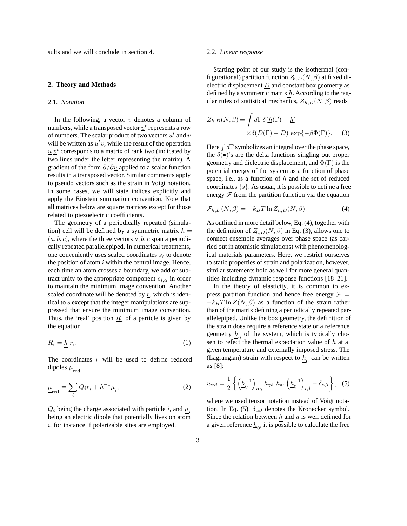sults and we will conclude in section 4.

#### **2. Theory and Methods**

#### 2.1. *Notation*

In the following, a vector  $\underline{v}$  denotes a column of numbers, while a transposed vector  $\underline{v}^t$  represents a row of numbers. The scalar product of two vectors  $\underline{u}^t$  and  $\underline{v}$ will be written as  $\underline{u}^t\underline{v}$ , while the result of the operation  $u v^t$  corresponds to a matrix of rank two (indicated by two lines under the letter representing the matrix). A gradient of the form  $\partial/\partial u$  applied to a scalar function results in a transposed vector. Similar comments apply to pseudo vectors such as the strain in Voigt notation. In some cases, we will state indices explicitly and apply the Einstein summation convention. Note that all matrices below are square matrices except for those related to piezoelectric coefficients.

The geometry of a periodically repeated (simulation) cell will be defined by a symmetric matrix  $h =$  $(a, b, c)$ , where the three vectors  $\underline{a}, \underline{b}, \underline{c}$  span a periodically repeated parallelepiped. In numerical treatments, one conveniently uses scaled coordinates  $s_i$  to denote the position of atom  $i$  within the central image. Hence, each time an atom crosses a boundary, we add or subtract unity to the appropriate component  $s_{i,\alpha}$  in order to maintain the minimum image convention. Another scaled coordinate will be denoted by  $r<sub>r</sub>$ , which is identical to  $s$  except that the integer manipulations are suppressed that ensure the minimum image convention. Thus, the 'real' position  $\underline{R}_i$  of a particle is given by the equation

$$
\underline{R}_i = \underline{h} \ \underline{r}_i. \tag{1}
$$

The coordinates  $r$  will be used to define reduced dipoles  $\mu_{\text{red}}$ 

$$
\underline{\mu}_{\text{red}} = \sum_{i} Q_i \underline{r}_i + \underline{\underline{h}}^{-1} \underline{\mu}_i,\tag{2}
$$

 $Q_i$  being the charge associated with particle i, and  $\mu_i$ being an electric dipole that potentially lives on atom i, for instance if polarizable sites are employed.

#### 2.2. *Linear response*

Starting point of our study is the isothermal (confi gurational) partition function  $Z_{h,D}(N, \beta)$  at fixed dielectric displacement  $D$  and constant box geometry as defined by a symmetric matrix  $h$ . According to the regular rules of statistical mechanics,  $Z_{h,D}(N, \beta)$  reads

$$
Z_{h,D}(N,\beta) = \int d\Gamma \, \delta(\underline{\underline{h}}(\Gamma) - \underline{\underline{h}}) \times \delta(\underline{D}(\Gamma) - \underline{D}) \, \exp\{-\beta \Phi(\Gamma)\}.
$$
 (3)

Here  $\int d\Gamma$  symbolizes an integral over the phase space, the  $\delta(\bullet)$ 's are the delta functions singling out proper geometry and dielectric displacement, and  $\Phi(\Gamma)$  is the potential energy of the system as a function of phase space, i.e., as a function of  $h$  and the set of reduced coordinates  $\{s\}$ . As usual, it is possible to define a free energy  $\mathcal F$  from the partition function via the equation

$$
\mathcal{F}_{h,D}(N,\beta) = -k_B T \ln Z_{h,D}(N,\beta). \tag{4}
$$

As outlined in more detail below, Eq. (4), together with the definition of  $Z_{h,D}(N, \beta)$  in Eq. (3), allows one to connect ensemble averages over phase space (as carried out in atomistic simulations) with phenomenological materials parameters. Here, we restrict ourselves to static properties of strain and polarization, however, similar statements hold as well for more general quantities including dynamic response functions [18–21].

In the theory of elasticity, it is common to express partition function and hence free energy  $\mathcal{F} =$  $-k_BT \ln Z(N, \beta)$  as a function of the strain rather than of the matrix defining a periodically repeated parallelepiped. Unlike the box geometry, the definition of the strain does require a reference state or a reference geometry  $\underline{h}_0$  of the system, which is typically chosen to reflect the thermal expectation value of  $h$  at a given temperature and externally imposed stress. The (Lagrangian) strain with respect to  $\underline{h}_0$  can be written as [8]:

$$
u_{\alpha\beta} = \frac{1}{2} \left\{ \left( \underline{h}_{0}^{-1} \right)_{\alpha\gamma} h_{\gamma\delta} h_{\delta\epsilon} \left( \underline{h}_{0}^{-1} \right)_{\epsilon\beta} - \delta_{\alpha\beta} \right\}, \quad (5)
$$

where we used tensor notation instead of Voigt notation. In Eq. (5),  $\delta_{\alpha\beta}$  denotes the Kronecker symbol. Since the relation between  $h$  and  $\overline{u}$  is well defined for a given reference  $\underline{h}_0$ , it is possible to calculate the free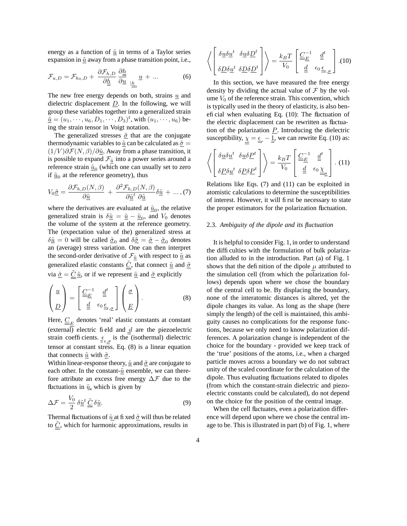energy as a function of  $\tilde{u}$  in terms of a Taylor series expansion in  $\tilde{u}$  away from a phase transition point, i.e.,

$$
\mathcal{F}_{u,D} = \mathcal{F}_{h_0,D} + \frac{\partial \mathcal{F}_{h,D}}{\partial \underline{\underline{h}}}\frac{\partial \underline{\underline{h}}}{\partial \underline{u}}\Big|_{\underline{\underline{h}}_0} u + \dots \tag{6}
$$

The new free energy depends on both, strains  $u$  and</u> dielectric displacement D. In the following, we will group these variables together into a generalized strain  $\underline{\tilde{u}} = (u_1, \dots, u_6, D_1, \dots, D_3)^t$ , with  $(u_1, \dots, u_6)$  being the strain tensor in Voigt notation.

The generalized stresses  $\tilde{\sigma}$  that are the conjugate thermodynamic variables to  $\tilde{u}$  can be calculated as  $\tilde{\sigma} =$  $(1/V)\partial \mathcal{F}(N,\beta)/\partial \underline{\tilde{u}}$ . Away from a phase transition, it is possible to expand  $\mathcal{F}_{\underline{\tilde{u}}}$  into a power series around a reference strain  $\underline{\tilde{u}}_0$  (which one can usually set to zero if  $\tilde{u}_0$  at the reference geometry), thus

$$
V_0 \underline{\tilde{\sigma}} = \frac{\partial \mathcal{F}_{h,D}(N,\beta)}{\partial \underline{\tilde{u}}} + \frac{\partial^2 \mathcal{F}_{h,D}(N,\beta)}{\partial \underline{\tilde{u}}^t \partial \underline{\tilde{u}}} + \dots, (7)
$$

where the derivatives are evaluated at  $\tilde{u}_0$ , the relative generalized strain is  $\delta \underline{\tilde{u}} = \underline{\tilde{u}} - \underline{\tilde{u}}_0$ , and  $V_0$  denotes the volume of the system at the reference geometry. The (expectation value of the) generalized stress at  $\delta \tilde{u} = 0$  will be called  $\tilde{\sigma}_0$  and  $\delta \tilde{\sigma} = \tilde{\sigma} - \tilde{\sigma}_0$  denotes an (average) stress variation. One can then interpret the second-order derivative of  $\mathcal{F}_{\underline{\tilde{u}}}$  with respect to  $\underline{\tilde{u}}$  as generalized elastic constants  $C$ , that connect  $\tilde{u}$  and  $\tilde{\sigma}$ via  $\tilde{\sigma} = \tilde{C} \tilde{u}$ , or if we represent  $\tilde{u}$  and  $\tilde{\sigma}$  explicitly

$$
\left(\frac{\underline{u}}{\underline{D}}\right) = \left[\frac{\underline{C}_{E}^{-1}}{\underline{d}} \frac{\underline{d}^{t}}{\epsilon_{0} \underline{\epsilon}_{r,\underline{\sigma}}} \right] \left(\frac{\underline{\sigma}}{\underline{E}}\right). \tag{8}
$$

Here,  $\underline{\underline{C}}_{E}$  denotes 'real' elastic constants at constant (external) electric field and  $\overline{d}$  are the piezoelectric strain coefficients.  $\epsilon_{\mathbf{r},\sigma}$  is the (isothermal) dielectric tensor at constant stress. Eq. (8) is a linear equation that connects  $\tilde{u}$  with  $\tilde{\sigma}$ .

Within linear-response theory,  $\tilde{u}$  and  $\tilde{\sigma}$  are conjugate to each other. In the constant- $\tilde{u}$  ensemble, we can therefore attribute an excess free energy  $\Delta \mathcal{F}$  due to the fluctuations in  $\tilde{u}$ , which is given by

$$
\Delta \mathcal{F} = \frac{V_0}{2} \, \delta \tilde{\underline{u}}^t \, \underline{\tilde{C}} \, \delta \tilde{\underline{u}}.\tag{9}
$$

Thermal fluctuations of  $\tilde{u}$  at fixed  $\tilde{\sigma}$  will thus be related to  $C$ , which for harmonic approximations, results in

$$
\left\langle \begin{bmatrix} \delta \underline{u} \delta \underline{u}^t & \delta \underline{u} \delta \underline{D}^t \\ \delta \underline{D} \delta \underline{u}^t & \delta \underline{D} \delta \underline{D}^t \end{bmatrix} \right\rangle = \frac{k_B T}{V_0} \begin{bmatrix} \underline{C}_{\underline{E}}^{-1} & \underline{d}^t \\ \underline{d} & \epsilon_0 \underline{\epsilon}_{r, \underline{\sigma}} \end{bmatrix} . (10)
$$

In this section, we have measured the free energy density by dividing the actual value of  $\mathcal F$  by the volume  $V_0$  of the reference strain. This convention, which is typically used in the theory of elasticity, is also beneficial when evaluating Eq. (10): The fluctuation of the electric displacement can be rewritten as fluctuation of the polarization  $\underline{P}$ . Introducing the dielectric susceptibility,  $\underline{\underline{x}} = \underline{\underline{\epsilon}}_r - \underline{\underline{1}}$ , we can rewrite Eq. (10) as:

$$
\left\langle \begin{bmatrix} \delta \underline{u} \delta \underline{u}^t & \delta \underline{u} \delta \underline{P}^t \\ \delta \underline{P} \delta \underline{u}^t & \delta \underline{P} \delta \underline{P}^t \end{bmatrix} \right\rangle = \frac{k_B T}{V_0} \begin{bmatrix} \underline{C}_{\underline{E}}^{-1} & \underline{d}^t \\ \underline{d} & \epsilon_0 \underline{\chi}_\sigma \end{bmatrix} . \tag{11}
$$

Relations like Eqs. (7) and (11) can be exploited in atomistic calculations to determine the susceptibilities of interest. However, it will first be necessary to state the proper estimators for the polarization fluctuation.

# 2.3. *Ambiguity of the dipole and its fluctuation*

It is helpful to consider Fig. 1, in order to understand the difficulties with the formulation of bulk polarization alluded to in the introduction. Part (a) of Fig. 1 shows that the definition of the dipole  $\mu$  attributed to the simulation cell (from which the polarization follows) depends upon where we chose the boundary of the central cell to be. By displacing the boundary, none of the interatomic distances is altered, yet the dipole changes its value. As long as the shape (here simply the length) of the cell is maintained, this ambiguity causes no complications for the response functions, because we only need to know polarization differences. A polarization change is independent of the choice for the boundary - provided we keep track of the 'true' positions of the atoms, i.e., when a charged particle moves across a boundary we do not subtract unity of the scaled coordinate for the calculation of the dipole. Thus evaluating fluctuations related to dipoles (from which the constant-strain dielectric and piezoelectric constants could be calculated), do not depend on the choice for the position of the central image.

When the cell fluctuates, even a polarization difference will depend upon where we chose the central image to be. This is illustrated in part (b) of Fig. 1, where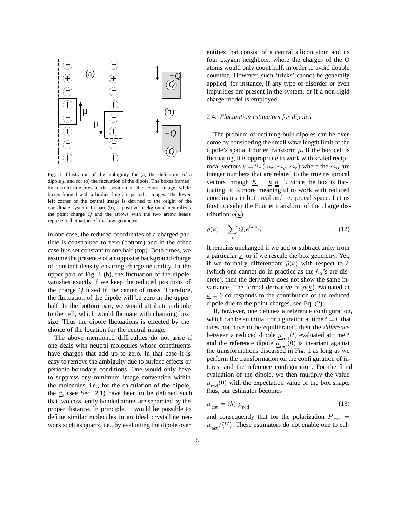

Fig. 1. Illustration of the ambiguity for (a) the definition of a dipole  $\mu$  and for (b) the fluctuation of the dipole. The boxes framed by a solid line present the position of the central image, while boxes framed with a broken line are periodic images. The lower left corner of the central image is defined to the origin of the coordinate system. In part (b), a positive background neutralizes the point charge Q and the arrows with the two arrow heads represent fluctuation of the box geometry.

in one case, the reduced coordinates of a charged particle is constrained to zero (bottom) and in the other case it is set constant to one half (top). Both times, we assume the presence of an opposite background charge of constant density ensuring charge neutrality. In the upper part of Fig. 1 (b), the fluctuation of the dipole vanishes exactly if we keep the reduced positions of the charge  $Q$  fixed in the center of mass. Therefore, the fluctuation of the dipole will be zero in the upper half. In the bottom part, we would attribute a dipole to the cell, which would fluctuate with changing box size. Thus the dipole fluctuations is effected by the choice of the location for the central image.

The above mentioned difficulties do not arise if one deals with neutral molecules whose constituents have charges that add up to zero. In that case it is easy to remove the ambiguity due to surface effects or periodic-boundary conditions. One would only have to suppress any minimum image convention within the molecules, i.e., for the calculation of the dipole, the  $r_i$  (see Sec. 2.1) have been to be defined such that two covalently bonded atoms are separated by the proper distance. In principle, it would be possible to define similar molecules in an ideal crystalline network such as quartz, i.e., by evaluating the dipole over

entities that consist of a central silicon atom and its four oxygen neighbors, where the charges of the O atoms would only count half, in order to avoid double counting. However, such 'tricks' cannot be generally applied, for instance, if any type of disorder or even impurities are present in the system, or if a non-rigid charge model is employed.

## 2.4. *Fluctuation estimators for dipoles*

The problem of defining bulk dipoles can be overcome by considering the small wave length limit of the dipole's spatial Fourier transform  $\tilde{\mu}$ . If the box cell is fluctuating, it is appropriate to work with scaled reciprocal vectors  $k = 2\pi(m_x, m_y, m_z)$  where the  $m_\alpha$  are integer numbers that are related to the true reciprocal vectors through  $\underline{K} = \underline{k} \ \underline{h}^{-1}$ . Since the box is fluctuating, it is more meaningful to work with reduced coordinates in both real and reciprocal space. Let us first consider the Fourier transform of the charge distribution  $\rho(k)$ 

$$
\tilde{\rho}(\underline{k}) = \sum_{i} Q_i e^{i\underline{k}\,\underline{s}_i}.\tag{12}
$$

It remains unchanged if we add or subtract unity from a particular  $s_i$  or if we rescale the box geometry. Yet, if we formally differentiate  $\tilde{\rho}(\underline{k})$  with respect to k (which one cannot do in practice as the  $k_{\alpha}$ 's are discrete), then the derivative does not show the same invariance. The formal derivative of  $\tilde{\rho}(\underline{k})$  evaluated at  $k = 0$  corresponds to the contribution of the reduced dipole due to the point charges, see Eq. (2).

If, however, one defines a reference configuration, which can be an initial configuration at time  $t = 0$  that does not have to be equilibrated, then the *difference* between a reduced dipole  $\underline{\mu}_{\text{red}}(t)$  evaluated at time t and the reference dipole  $\mu_{\text{red}}(0)$  is invariant against the transformations discussed in Fig. 1 as long as we perform the transformation on the configuration of interest and the reference configuration. For the final evaluation of the dipole, we then multiply the value  $\mu_{\text{red}}(0)$  with the expectation value of the box shape, thus, our estimator becomes

$$
\underline{\mu}_{\text{est}} = \langle \underline{\underline{h}} \rangle \underline{\mu}_{\text{red}} \tag{13}
$$

and consequently that for the polarization  $P_{\text{est}} =$  $\mu_{\text{est}}/\langle V \rangle$ . These estimators do not enable one to cal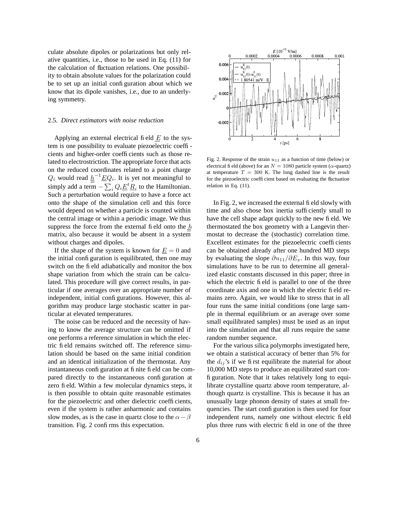culate absolute dipoles or polarizations but only relative quantities, i.e., those to be used in Eq. (11) for the calculation of fluctuation relations. One possibility to obtain absolute values for the polarization could be to set up an initial configuration about which we know that its dipole vanishes, i.e., due to an underlying symmetry.

#### 2.5. *Direct estimators with noise reduction*

Applying an external electrical field  $E$  to the system is one possibility to evaluate piezoelectric coefficients and higher-order coefficients such as those related to electrostriction. The appropriate force that acts on the reduced coordinates related to a point charge  $Q_i$  would read  $h^{-1}EQ_i$ . It is yet not meaningful to simply add a term  $-\sum_i Q_i \underline{E}^t \underline{R}_i$  to the Hamiltonian. Such a perturbation would require to have a force act onto the shape of the simulation cell and this force would depend on whether a particle is counted within the central image or within a periodic image. We thus suppress the force from the external field onto the  $h$ matrix, also because it would be absent in a system without charges and dipoles.

If the shape of the system is known for  $E = 0$  and the initial configuration is equilibrated, then one may switch on the field adiabatically and monitor the box shape variation from which the strain can be calculated. This procedure will give correct results, in particular if one averages over an appropriate number of independent, initial configurations. However, this algorithm may produce large stochastic scatter in particular at elevated temperatures.

The noise can be reduced and the necessity of having to know the average structure can be omitted if one performs a reference simulation in which the electric field remains switched off. The reference simulation should be based on the same initial condition and an identical initialization of the thermostat. Any instantaneous configuration at finite field can be compared directly to the instantaneous configuration at zero field. Within a few molecular dynamics steps, it is then possible to obtain quite reasonable estimates for the piezoelectric and other dielectric coefficients, even if the system is rather anharmonic and contains slow modes, as is the case in quartz close to the  $\alpha-\beta$ transition. Fig. 2 confirms this expectation.



Fig. 2. Response of the strain  $u_{11}$  as a function of time (below) or electrical field (above) for an  $N = 1080$  particle system ( $\alpha$ -quartz) at temperature  $T = 300$  K. The long dashed line is the result for the piezoelectric coefficient based on evaluating the fluctuation relation in Eq. (11).

In Fig. 2, we increased the external field slowly with time and also chose box inertia sufficiently small to have the cell shape adapt quickly to the new field. We thermostated the box geometry with a Langevin thermostat to decrease the (stochastic) correlation time. Excellent estimates for the piezoelectric coefficients can be obtained already after one hundred MD steps by evaluating the slope  $\partial u_{11}/\partial E_x$ . In this way, four simulations have to be run to determine all generalized elastic constants discussed in this paper; three in which the electric field is parallel to one of the three coordinate axis and one in which the electric field remains zero. Again, we would like to stress that in all four runs the same initial conditions (one large sample in thermal equilibrium or an average over some small equilibrated samples) must be used as an input into the simulation and that all runs require the same random number sequence.

For the various silica polymorphs investigated here, we obtain a statistical accuracy of better than 5% for the  $d_{ij}$ 's if we first equilibrate the material for about 10,000 MD steps to produce an equilibrated start configuration. Note that it takes relatively long to equilibrate crystalline quartz above room temperature, although quartz is crystalline. This is because it has an unusually large phonon density of states at small frequencies. The start configuration is then used for four independent runs, namely one without electric field plus three runs with electric field in one of the three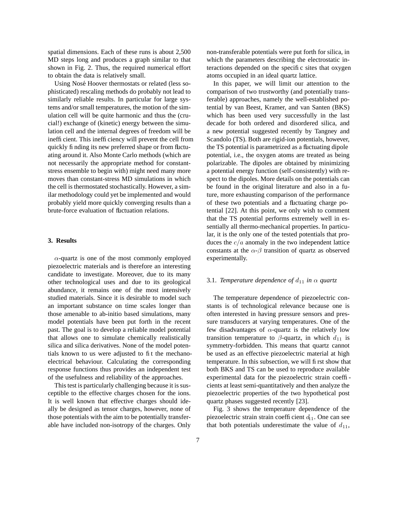spatial dimensions. Each of these runs is about 2,500 MD steps long and produces a graph similar to that shown in Fig. 2. Thus, the required numerical effort to obtain the data is relatively small.

Using Nosé Hoover thermostats or related (less sophisticated) rescaling methods do probably not lead to similarly reliable results. In particular for large systems and/or small temperatures, the motion of the simulation cell will be quite harmonic and thus the (crucial!) exchange of (kinetic) energy between the simulation cell and the internal degrees of freedom will be inefficient. This inefficiency will prevent the cell from quickly finding its new preferred shape or from fluctuating around it. Also Monte Carlo methods (which are not necessarily the appropriate method for constantstress ensemble to begin with) might need many more moves than constant-stress MD simulations in which the cell is thermostated stochastically. However, a similar methodology could yet be implemented and would probably yield more quickly converging results than a brute-force evaluation of fluctuation relations.

# **3. Results**

 $\alpha$ -quartz is one of the most commonly employed piezoelectric materials and is therefore an interesting candidate to investigate. Moreover, due to its many other technological uses and due to its geological abundance, it remains one of the most intensively studied materials. Since it is desirable to model such an important substance on time scales longer than those amenable to ab-initio based simulations, many model potentials have been put forth in the recent past. The goal is to develop a reliable model potential that allows one to simulate chemically realistically silica and silica derivatives. None of the model potentials known to us were adjusted to fit the mechanoelectrical behaviour. Calculating the corresponding response functions thus provides an independent test of the usefulness and reliability of the approaches.

This test is particularly challenging because it is susceptible to the effective charges chosen for the ions. It is well known that effective charges should ideally be designed as tensor charges, however, none of those potentials with the aim to be potentially transferable have included non-isotropy of the charges. Only

non-transferable potentials were put forth for silica, in which the parameters describing the electrostatic interactions depended on the specific sites that oxygen atoms occupied in an ideal quartz lattice.

In this paper, we will limit our attention to the comparison of two trustworthy (and potentially transferable) approaches, namely the well-established potential by van Beest, Kramer, and van Santen (BKS) which has been used very successfully in the last decade for both ordered and disordered silica, and a new potential suggested recently by Tangney and Scandolo (TS). Both are rigid-ion potentials, however, the TS potential is parametrized as a fluctuating dipole potential, i.e., the oxygen atoms are treated as being polarizable. The dipoles are obtained by minimizing a potential energy function (self-consistently) with respect to the dipoles. More details on the potentials can be found in the original literature and also in a future, more exhausting comparison of the performance of these two potentials and a fluctuating charge potential [22]. At this point, we only wish to comment that the TS potential performs extremely well in essentially all thermo-mechanical properties. In particular, it is the only one of the tested potentials that produces the  $c/a$  anomaly in the two independent lattice constants at the  $\alpha$ - $\beta$  transition of quartz as observed experimentally.

## 3.1. *Temperature dependence of*  $d_{11}$  *in*  $\alpha$  *quartz*

The temperature dependence of piezoelectric constants is of technological relevance because one is often interested in having pressure sensors and pressure transducers at varying temperatures. One of the few disadvantages of  $\alpha$ -quartz is the relatively low transition temperature to  $\beta$ -quartz, in which  $d_{11}$  is symmetry-forbidden. This means that quartz cannot be used as an effective piezoelectric material at high temperature. In this subsection, we will first show that both BKS and TS can be used to reproduce available experimental data for the piezoelectric strain coefficients at least semi-quantitatively and then analyze the piezoelectric properties of the two hypothetical post quartz phases suggested recently [23].

Fig. 3 shows the temperature dependence of the piezoelectric strain strain coefficient  $d_{11}$ . One can see that both potentials underestimate the value of  $d_{11}$ ,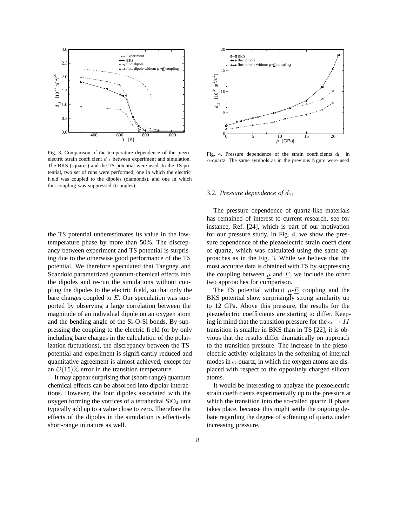

Fig. 3. Comparison of the temperature dependence of the piezoelectric strain coefficient  $d_{11}$  between experiment and simulation. The BKS (squares) and the TS potential were used. In the TS potential, two set of runs were performed, one in which the electric field was coupled to the dipoles (diamonds), and one in which this coupling was suppressed (triangles).

the TS potential underestimates its value in the lowtemperature phase by more than 50%. The discrepancy between experiment and TS potential is surprising due to the otherwise good performance of the TS potential. We therefore speculated that Tangney and Scandolo parametrized quantum-chemical effects into the dipoles and re-run the simulations without coupling the dipoles to the electric field, so that only the bare charges coupled to  $E$ . Our speculation was supported by observing a large correlation between the magnitude of an individual dipole on an oxygen atom and the bending angle of the Si-O-Si bonds. By suppressing the coupling to the electric field (or by only including bare charges in the calculation of the polarization fluctuations), the discrepancy between the TS potential and experiment is significantly reduced and quantitative agreement is almost achieved, except for an  $\mathcal{O}(15)\%$  error in the transition temperature.

It may appear surprising that (short-range) quantum chemical effects can be absorbed into dipolar interactions. However, the four dipoles associated with the oxygen forming the vortices of a tetrahedral  $SiO<sub>4</sub>$  unit typically add up to a value close to zero. Therefore the effects of the dipoles in the simulation is effectively short-range in nature as well.



Fig. 4. Pressure dependence of the strain coefficients  $d_{11}$  in  $\alpha$ -quartz. The same symbols as in the previous figure were used.

#### 3.2. Pressure dependence of  $d_{11}$

The pressure dependence of quartz-like materials has remained of interest to current research, see for instance, Ref. [24], which is part of our motivation for our pressure study. In Fig. 4, we show the pressure dependence of the piezoelectric strain coefficient of quartz, which was calculated using the same approaches as in the Fig. 3. While we believe that the most accurate data is obtained with TS by suppressing the coupling between  $\mu$  and  $\underline{E}$ , we include the other two approaches for comparison.

The TS potential without  $\mu$ - $E$  coupling and the BKS potential show surprisingly strong similarity up to 12 GPa. Above this pressure, the results for the piezoelectric coefficients are starting to differ. Keeping in mind that the transition pressure for the  $\alpha \rightarrow II$ transition is smaller in BKS than in TS [22], it is obvious that the results differ dramatically on approach to the transition pressure. The increase in the piezoelectric activity originates in the softening of internal modes in  $\alpha$ -quartz, in which the oxygen atoms are displaced with respect to the oppositely charged silicon atoms.

It would be interesting to analyze the piezoelectric strain coefficients experimentally up to the pressure at which the transition into the so-called quartz II phase takes place, because this might settle the ongoing debate regarding the degree of softening of quartz under increasing pressure.